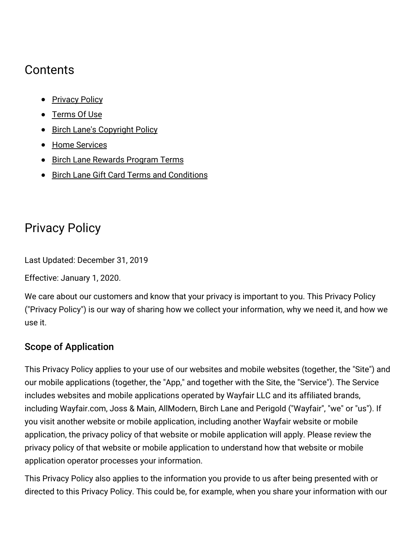# **Contents**

- [Privacy](#privacy) Policy
- [Terms](#terms) Of Use
- Birch Lane's [Copyright](#copyright) Policy
- Home [Services](#homesvcs)
- Birch Lane [Rewards](#rewards) Program Terms
- **Birch Lane Gift Card Terms and [Conditions](#gcterms)**

# Privacy Policy

Last Updated: December 31, 2019

Effective: January 1, 2020.

We care about our customers and know that your privacy is important to you. This Privacy Policy ("Privacy Policy") is our way of sharing how we collect your information, why we need it, and how we use it.

## Scope of Application

This Privacy Policy applies to your use of our websites and mobile websites (together, the "Site") and our mobile applications (together, the "App," and together with the Site, the "Service"). The Service includes websites and mobile applications operated by Wayfair LLC and its affiliated brands, including Wayfair.com, Joss & Main, AllModern, Birch Lane and Perigold ("Wayfair", "we" or "us"). If you visit another website or mobile application, including another Wayfair website or mobile application, the privacy policy of that website or mobile application will apply. Please review the privacy policy of that website or mobile application to understand how that website or mobile application operator processes your information.

This Privacy Policy also applies to the information you provide to us after being presented with or directed to this Privacy Policy. This could be, for example, when you share your information with our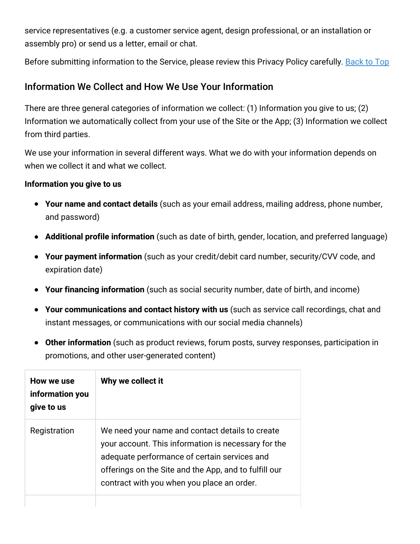service representatives (e.g. a customer service agent, design professional, or an installation or assembly pro) or send us a letter, email or chat.

Before submitting information to the Service, please review this Privacy Policy carefully. [Back](#top) to Top

## Information We Collect and How We Use Your Information

There are three general categories of information we collect: (1) Information you give to us; (2) Information we automatically collect from your use of the Site or the App; (3) Information we collect from third parties.

We use your information in several different ways. What we do with your information depends on when we collect it and what we collect.

#### **Information you give to us**

- **Your name and contact details** (such as your email address, mailing address, phone number, and password)
- **Additional profile information** (such as date of birth, gender, location, and preferred language)
- **Your payment information** (such as your credit/debit card number, security/CVV code, and expiration date)
- **Your financing information** (such as social security number, date of birth, and income)
- **Your communications and contact history with us** (such as service call recordings, chat and instant messages, or communications with our social media channels)
- **Other information** (such as product reviews, forum posts, survey responses, participation in promotions, and other user-generated content)

| How we use<br>information you<br>give to us | Why we collect it                                                                                                                                                                                                                                             |
|---------------------------------------------|---------------------------------------------------------------------------------------------------------------------------------------------------------------------------------------------------------------------------------------------------------------|
| Registration                                | We need your name and contact details to create<br>your account. This information is necessary for the<br>adequate performance of certain services and<br>offerings on the Site and the App, and to fulfill our<br>contract with you when you place an order. |
|                                             |                                                                                                                                                                                                                                                               |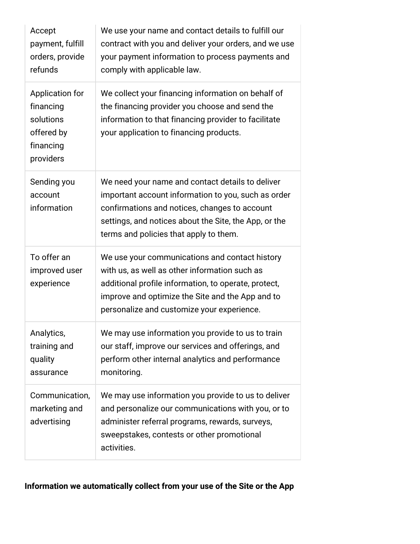| Accept<br>payment, fulfill<br>orders, provide<br>refunds                          | We use your name and contact details to fulfill our<br>contract with you and deliver your orders, and we use<br>your payment information to process payments and<br>comply with applicable law.                                                             |
|-----------------------------------------------------------------------------------|-------------------------------------------------------------------------------------------------------------------------------------------------------------------------------------------------------------------------------------------------------------|
| Application for<br>financing<br>solutions<br>offered by<br>financing<br>providers | We collect your financing information on behalf of<br>the financing provider you choose and send the<br>information to that financing provider to facilitate<br>your application to financing products.                                                     |
| Sending you<br>account<br>information                                             | We need your name and contact details to deliver<br>important account information to you, such as order<br>confirmations and notices, changes to account<br>settings, and notices about the Site, the App, or the<br>terms and policies that apply to them. |
| To offer an<br>improved user<br>experience                                        | We use your communications and contact history<br>with us, as well as other information such as<br>additional profile information, to operate, protect,<br>improve and optimize the Site and the App and to<br>personalize and customize your experience.   |
| Analytics,<br>training and<br>quality<br>assurance                                | We may use information you provide to us to train<br>our staff, improve our services and offerings, and<br>perform other internal analytics and performance<br>monitoring.                                                                                  |
| Communication,<br>marketing and<br>advertising                                    | We may use information you provide to us to deliver<br>and personalize our communications with you, or to<br>administer referral programs, rewards, surveys,<br>sweepstakes, contests or other promotional<br>activities.                                   |

## **Information we automatically collect from your use of the Site or the App**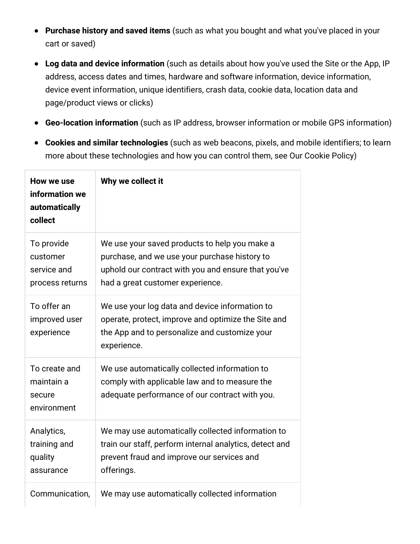- **Purchase history and saved items** (such as what you bought and what you've placed in your cart or saved)
- **Log data and device information** (such as details about how you've used the Site or the App, IP address, access dates and times, hardware and software information, device information, device event information, unique identifiers, crash data, cookie data, location data and page/product views or clicks)
- **Geo-location information** (such as IP address, browser information or mobile GPS information)
- **Cookies and similar technologies** (such as web beacons, pixels, and mobile identifiers; to learn  $\bullet$ more about these technologies and how you can control them, see Our Cookie Policy)

| How we use<br>information we<br>automatically<br>collect | Why we collect it                                                                                                                                                                         |
|----------------------------------------------------------|-------------------------------------------------------------------------------------------------------------------------------------------------------------------------------------------|
| To provide<br>customer<br>service and<br>process returns | We use your saved products to help you make a<br>purchase, and we use your purchase history to<br>uphold our contract with you and ensure that you've<br>had a great customer experience. |
| To offer an<br>improved user<br>experience               | We use your log data and device information to<br>operate, protect, improve and optimize the Site and<br>the App and to personalize and customize your<br>experience.                     |
| To create and<br>maintain a<br>secure<br>environment     | We use automatically collected information to<br>comply with applicable law and to measure the<br>adequate performance of our contract with you.                                          |
| Analytics,<br>training and<br>quality<br>assurance       | We may use automatically collected information to<br>train our staff, perform internal analytics, detect and<br>prevent fraud and improve our services and<br>offerings.                  |
| Communication,                                           | We may use automatically collected information                                                                                                                                            |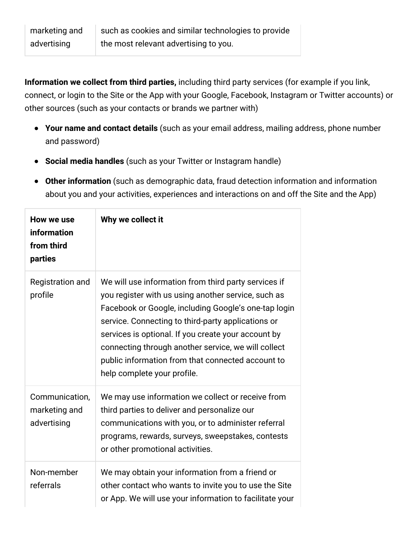| marketing and | such as cookies and similar technologies to provide |
|---------------|-----------------------------------------------------|
| advertising   | the most relevant advertising to you.               |

**Information we collect from third parties,** including third party services (for example if you link, connect, or login to the Site or the App with your Google, Facebook, Instagram or Twitter accounts) or other sources (such as your contacts or brands we partner with)

- **Your name and contact details** (such as your email address, mailing address, phone number and password)
- **Social media handles** (such as your Twitter or Instagram handle)  $\bullet$
- **Other information** (such as demographic data, fraud detection information and information about you and your activities, experiences and interactions on and off the Site and the App)

| How we use<br>information<br>from third<br>parties | Why we collect it                                                                                                                                                                                                                                                                                                                                                                                                           |
|----------------------------------------------------|-----------------------------------------------------------------------------------------------------------------------------------------------------------------------------------------------------------------------------------------------------------------------------------------------------------------------------------------------------------------------------------------------------------------------------|
| <b>Registration and</b><br>profile                 | We will use information from third party services if<br>you register with us using another service, such as<br>Facebook or Google, including Google's one-tap login<br>service. Connecting to third-party applications or<br>services is optional. If you create your account by<br>connecting through another service, we will collect<br>public information from that connected account to<br>help complete your profile. |
| Communication,<br>marketing and<br>advertising     | We may use information we collect or receive from<br>third parties to deliver and personalize our<br>communications with you, or to administer referral<br>programs, rewards, surveys, sweepstakes, contests<br>or other promotional activities.                                                                                                                                                                            |
| Non-member<br>referrals                            | We may obtain your information from a friend or<br>other contact who wants to invite you to use the Site<br>or App. We will use your information to facilitate your                                                                                                                                                                                                                                                         |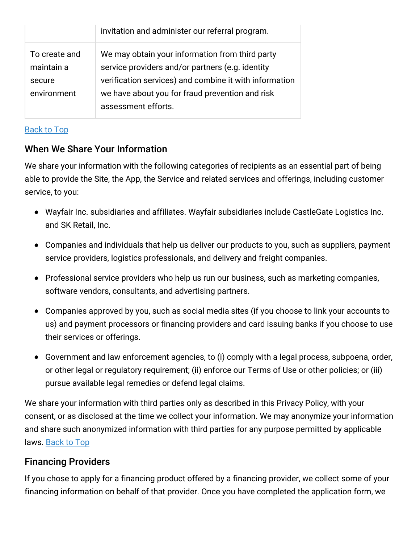|               | invitation and administer our referral program.        |
|---------------|--------------------------------------------------------|
| To create and | We may obtain your information from third party        |
| maintain a    | service providers and/or partners (e.g. identity       |
| secure        | verification services) and combine it with information |
| environment   | we have about you for fraud prevention and risk        |
|               | assessment efforts.                                    |

#### [Back](#top) to Top

## When We Share Your Information

We share your information with the following categories of recipients as an essential part of being able to provide the Site, the App, the Service and related services and offerings, including customer service, to you:

- Wayfair Inc. subsidiaries and affiliates. Wayfair subsidiaries include CastleGate Logistics Inc. and SK Retail, Inc.
- Companies and individuals that help us deliver our products to you, such as suppliers, payment service providers, logistics professionals, and delivery and freight companies.
- Professional service providers who help us run our business, such as marketing companies, software vendors, consultants, and advertising partners.
- Companies approved by you, such as social media sites (if you choose to link your accounts to us) and payment processors or financing providers and card issuing banks if you choose to use their services or offerings.
- Government and law enforcement agencies, to (i) comply with a legal process, subpoena, order, or other legal or regulatory requirement; (ii) enforce our Terms of Use or other policies; or (iii) pursue available legal remedies or defend legal claims.

We share your information with third parties only as described in this Privacy Policy, with your consent, or as disclosed at the time we collect your information. We may anonymize your information and share such anonymized information with third parties for any purpose permitted by applicable laws. [Back](#top) to Top

## Financing Providers

If you chose to apply for a financing product offered by a financing provider, we collect some of your financing information on behalf of that provider. Once you have completed the application form, we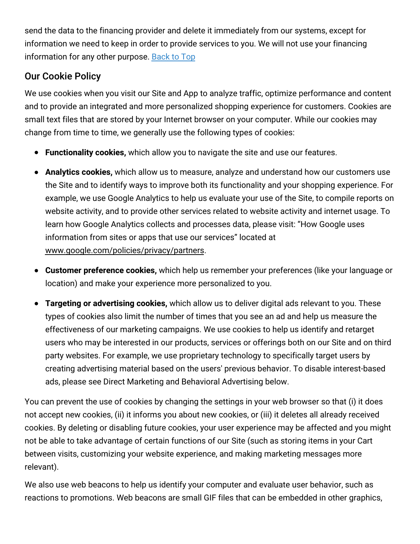send the data to the financing provider and delete it immediately from our systems, except for information we need to keep in order to provide services to you. We will not use your financing information for any other purpose. [Back](#top) to Top

## Our Cookie Policy

We use cookies when you visit our Site and App to analyze traffic, optimize performance and content and to provide an integrated and more personalized shopping experience for customers. Cookies are small text files that are stored by your Internet browser on your computer. While our cookies may change from time to time, we generally use the following types of cookies:

- **Functionality cookies,** which allow you to navigate the site and use our features.
- **Analytics cookies,** which allow us to measure, analyze and understand how our customers use the Site and to identify ways to improve both its functionality and your shopping experience. For example, we use Google Analytics to help us evaluate your use of the Site, to compile reports on website activity, and to provide other services related to website activity and internet usage. To learn how Google Analytics collects and processes data, please visit: "How Google uses information from sites or apps that use our services" located at [www.google.com/policies/privacy/partners](http://www.google.com/policies/privacy/partners).
- **Customer preference cookies,** which help us remember your preferences (like your language or location) and make your experience more personalized to you.
- **Targeting or advertising cookies,** which allow us to deliver digital ads relevant to you. These types of cookies also limit the number of times that you see an ad and help us measure the effectiveness of our marketing campaigns. We use cookies to help us identify and retarget users who may be interested in our products, services or offerings both on our Site and on third party websites. For example, we use proprietary technology to specifically target users by creating advertising material based on the users' previous behavior. To disable interest-based ads, please see Direct Marketing and Behavioral Advertising below.

You can prevent the use of cookies by changing the settings in your web browser so that (i) it does not accept new cookies, (ii) it informs you about new cookies, or (iii) it deletes all already received cookies. By deleting or disabling future cookies, your user experience may be affected and you might not be able to take advantage of certain functions of our Site (such as storing items in your Cart between visits, customizing your website experience, and making marketing messages more relevant).

We also use web beacons to help us identify your computer and evaluate user behavior, such as reactions to promotions. Web beacons are small GIF files that can be embedded in other graphics,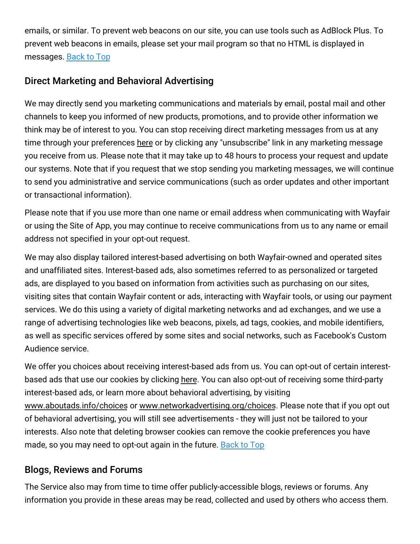emails, or similar. To prevent web beacons on our site, you can use tools such as AdBlock Plus. To prevent web beacons in emails, please set your mail program so that no HTML is displayed in messages. [Back](#top) to Top

## Direct Marketing and Behavioral Advertising

We may directly send you marketing communications and materials by email, postal mail and other channels to keep you informed of new products, promotions, and to provide other information we think may be of interest to you. You can stop receiving direct marketing messages from us at any time through your preferences [here](https://www.birchlane.com/v/account/email_subscriptions/manage) or by clicking any "unsubscribe" link in any marketing message you receive from us. Please note that it may take up to 48 hours to process your request and update our systems. Note that if you request that we stop sending you marketing messages, we will continue to send you administrative and service communications (such as order updates and other important or transactional information).

Please note that if you use more than one name or email address when communicating with Wayfair or using the Site of App, you may continue to receive communications from us to any name or email address not specified in your opt-out request.

We may also display tailored interest-based advertising on both Wayfair-owned and operated sites and unaffiliated sites. Interest-based ads, also sometimes referred to as personalized or targeted ads, are displayed to you based on information from activities such as purchasing on our sites, visiting sites that contain Wayfair content or ads, interacting with Wayfair tools, or using our payment services. We do this using a variety of digital marketing networks and ad exchanges, and we use a range of advertising technologies like web beacons, pixels, ad tags, cookies, and mobile identifiers, as well as specific services offered by some sites and social networks, such as Facebook's Custom Audience service.

We offer you choices about receiving interest-based ads from us. You can opt-out of certain interestbased ads that use our cookies by clicking [here.](https://terms.birchlane.io/en-US#birchlane-interestbasedads) You can also opt-out of receiving some third-party interest-based ads, or learn more about behavioral advertising, by visiting [www.aboutads.info/choices](http://www.aboutads.info/choices) or [www.networkadvertising.org/choices.](http://www.networkadvertising.org/choices) Please note that if you opt out of behavioral advertising, you will still see advertisements - they will just not be tailored to your interests. Also note that deleting browser cookies can remove the cookie preferences you have made, so you may need to opt-out again in the future. [Back](#top) to Top

## Blogs, Reviews and Forums

The Service also may from time to time offer publicly-accessible blogs, reviews or forums. Any information you provide in these areas may be read, collected and used by others who access them.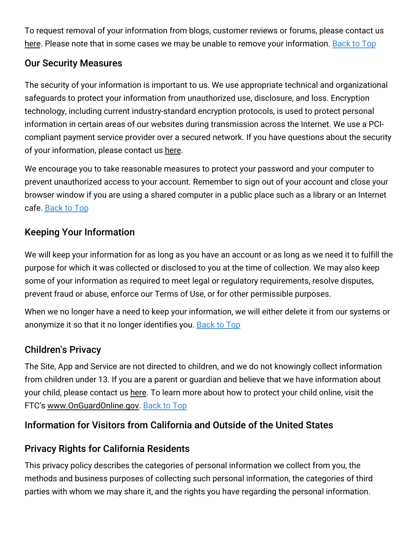To request removal of your information from blogs, customer reviews or forums, please contact us [here.](https://www.birchlane.com/privacy_rights_request) Please note that in some cases we may be unable to remove your information. [Back](#top) to Top

## Our Security Measures

The security of your information is important to us. We use appropriate technical and organizational safeguards to protect your information from unauthorized use, disclosure, and loss. Encryption technology, including current industry-standard encryption protocols, is used to protect personal information in certain areas of our websites during transmission across the Internet. We use a PCIcompliant payment service provider over a secured network. If you have questions about the security of your information, please contact us [here](https://www.birchlane.com/contact_us).

We encourage you to take reasonable measures to protect your password and your computer to prevent unauthorized access to your account. Remember to sign out of your account and close your browser window if you are using a shared computer in a public place such as a library or an Internet cafe. [Back](#top) to Top

## Keeping Your Information

We will keep your information for as long as you have an account or as long as we need it to fulfill the purpose for which it was collected or disclosed to you at the time of collection. We may also keep some of your information as required to meet legal or regulatory requirements, resolve disputes, prevent fraud or abuse, enforce our Terms of Use, or for other permissible purposes.

When we no longer have a need to keep your information, we will either delete it from our systems or anonymize it so that it no longer identifies you. [Back](#top) to Top

## Children's Privacy

The Site, App and Service are not directed to children, and we do not knowingly collect information from children under 13. If you are a parent or guardian and believe that we have information about your child, please contact us [here.](https://www.birchlane.com/privacy_rights_request) To learn more about how to protect your child online, visit the FTC's [www.OnGuardOnline.gov.](http://www.onguardonline.gov/) [Back](#top) to Top

## Information for Visitors from California and Outside of the United States

## Privacy Rights for California Residents

This privacy policy describes the categories of personal information we collect from you, the methods and business purposes of collecting such personal information, the categories of third parties with whom we may share it, and the rights you have regarding the personal information.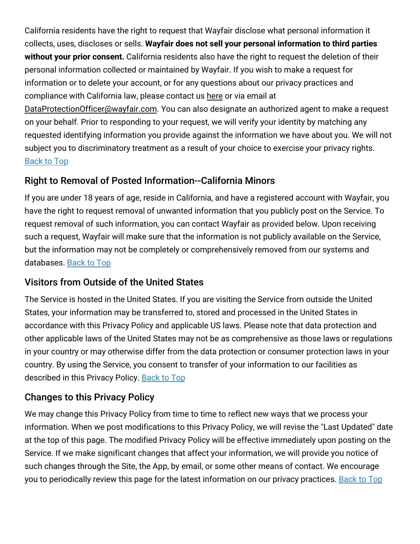California residents have the right to request that Wayfair disclose what personal information it collects, uses, discloses or sells. **Wayfair does not sell your personal information to third parties without your prior consent.** California residents also have the right to request the deletion of their personal information collected or maintained by Wayfair. If you wish to make a request for information or to delete your account, or for any questions about our privacy practices and compliance with California law, please contact us [here](https://www.birchlane.com/privacy_rights_request) or via email at

[DataProtectionOfficer@wayfair.com.](mailto:DataProtectionOfficer@wayfair.com) You can also designate an authorized agent to make a request on your behalf. Prior to responding to your request, we will verify your identity by matching any requested identifying information you provide against the information we have about you. We will not subject you to discriminatory treatment as a result of your choice to exercise your privacy rights. [Back](#top) to Top

## Right to Removal of Posted Information--California Minors

If you are under 18 years of age, reside in California, and have a registered account with Wayfair, you have the right to request removal of unwanted information that you publicly post on the Service. To request removal of such information, you can contact Wayfair as provided below. Upon receiving such a request, Wayfair will make sure that the information is not publicly available on the Service, but the information may not be completely or comprehensively removed from our systems and databases. [Back](#top) to Top

## Visitors from Outside of the United States

The Service is hosted in the United States. If you are visiting the Service from outside the United States, your information may be transferred to, stored and processed in the United States in accordance with this Privacy Policy and applicable US laws. Please note that data protection and other applicable laws of the United States may not be as comprehensive as those laws or regulations in your country or may otherwise differ from the data protection or consumer protection laws in your country. By using the Service, you consent to transfer of your information to our facilities as described in this Privacy Policy. [Back](#top) to Top

## Changes to this Privacy Policy

We may change this Privacy Policy from time to time to reflect new ways that we process your information. When we post modifications to this Privacy Policy, we will revise the "Last Updated" date at the top of this page. The modified Privacy Policy will be effective immediately upon posting on the Service. If we make significant changes that affect your information, we will provide you notice of such changes through the Site, the App, by email, or some other means of contact. We encourage you to periodically review this page for the latest information on our privacy practices. [Back](#top) to Top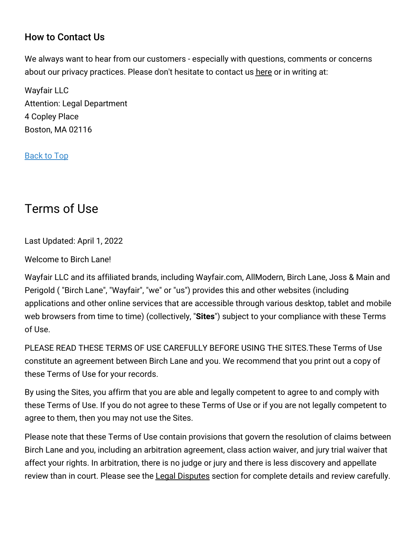## How to Contact Us

We always want to hear from our customers - especially with questions, comments or concerns about our privacy practices. Please don't hesitate to contact us [here](https://www.birchlane.com/contact_us) or in writing at:

Wayfair LLC Attention: Legal Department 4 Copley Place Boston, MA 02116

[Back](#top) to Top

# Terms of Use

Last Updated: April 1, 2022

Welcome to Birch Lane!

Wayfair LLC and its affiliated brands, including Wayfair.com, AllModern, Birch Lane, Joss & Main and Perigold ( "Birch Lane", "Wayfair", "we" or "us") provides this and other websites (including applications and other online services that are accessible through various desktop, tablet and mobile web browsers from time to time) (collectively, "**Sites**") subject to your compliance with these Terms of Use.

PLEASE READ THESE TERMS OF USE CAREFULLY BEFORE USING THE SITES.These Terms of Use constitute an agreement between Birch Lane and you. We recommend that you print out a copy of these Terms of Use for your records.

By using the Sites, you affirm that you are able and legally competent to agree to and comply with these Terms of Use. If you do not agree to these Terms of Use or if you are not legally competent to agree to them, then you may not use the Sites.

Please note that these Terms of Use contain provisions that govern the resolution of claims between Birch Lane and you, including an arbitration agreement, class action waiver, and jury trial waiver that affect your rights. In arbitration, there is no judge or jury and there is less discovery and appellate review than in court. Please see the Legal [Disputes](#disputes) section for complete details and review carefully.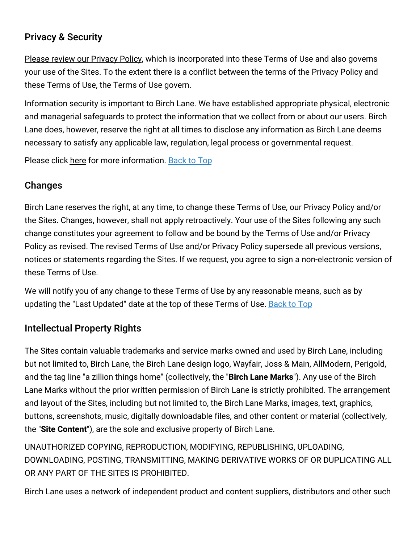## Privacy & Security

Please review our [Privacy](#privacy) Policy, which is incorporated into these Terms of Use and also governs your use of the Sites. To the extent there is a conflict between the terms of the Privacy Policy and these Terms of Use, the Terms of Use govern.

Information security is important to Birch Lane. We have established appropriate physical, electronic and managerial safeguards to protect the information that we collect from or about our users. Birch Lane does, however, reserve the right at all times to disclose any information as Birch Lane deems necessary to satisfy any applicable law, regulation, legal process or governmental request.

Please click [here](#security) for more information. [Back](#top) to Top

## Changes

Birch Lane reserves the right, at any time, to change these Terms of Use, our Privacy Policy and/or the Sites. Changes, however, shall not apply retroactively. Your use of the Sites following any such change constitutes your agreement to follow and be bound by the Terms of Use and/or Privacy Policy as revised. The revised Terms of Use and/or Privacy Policy supersede all previous versions, notices or statements regarding the Sites. If we request, you agree to sign a non-electronic version of these Terms of Use.

We will notify you of any change to these Terms of Use by any reasonable means, such as by updating the "Last Updated" date at the top of these Terms of Use. [Back](#top) to Top

## Intellectual Property Rights

The Sites contain valuable trademarks and service marks owned and used by Birch Lane, including but not limited to, Birch Lane, the Birch Lane design logo, Wayfair, Joss & Main, AllModern, Perigold, and the tag line "a zillion things home" (collectively, the "**Birch Lane Marks**"). Any use of the Birch Lane Marks without the prior written permission of Birch Lane is strictly prohibited. The arrangement and layout of the Sites, including but not limited to, the Birch Lane Marks, images, text, graphics, buttons, screenshots, music, digitally downloadable files, and other content or material (collectively, the "**Site Content**"), are the sole and exclusive property of Birch Lane.

UNAUTHORIZED COPYING, REPRODUCTION, MODIFYING, REPUBLISHING, UPLOADING, DOWNLOADING, POSTING, TRANSMITTING, MAKING DERIVATIVE WORKS OF OR DUPLICATING ALL OR ANY PART OF THE SITES IS PROHIBITED.

Birch Lane uses a network of independent product and content suppliers, distributors and other such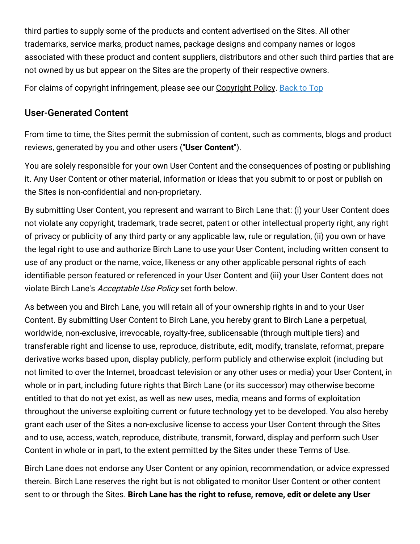third parties to supply some of the products and content advertised on the Sites. All other trademarks, service marks, product names, package designs and company names or logos associated with these product and content suppliers, distributors and other such third parties that are not owned by us but appear on the Sites are the property of their respective owners.

For claims of copyright infringement, please see our [Copyright](#copyright) Policy. [Back](#top) to Top

## User-Generated Content

From time to time, the Sites permit the submission of content, such as comments, blogs and product reviews, generated by you and other users ("**User Content**").

You are solely responsible for your own User Content and the consequences of posting or publishing it. Any User Content or other material, information or ideas that you submit to or post or publish on the Sites is non-confidential and non-proprietary.

By submitting User Content, you represent and warrant to Birch Lane that: (i) your User Content does not violate any copyright, trademark, trade secret, patent or other intellectual property right, any right of privacy or publicity of any third party or any applicable law, rule or regulation, (ii) you own or have the legal right to use and authorize Birch Lane to use your User Content, including written consent to use of any product or the name, voice, likeness or any other applicable personal rights of each identifiable person featured or referenced in your User Content and (iii) your User Content does not violate Birch Lane's Acceptable Use Policy set forth below.

As between you and Birch Lane, you will retain all of your ownership rights in and to your User Content. By submitting User Content to Birch Lane, you hereby grant to Birch Lane a perpetual, worldwide, non-exclusive, irrevocable, royalty-free, sublicensable (through multiple tiers) and transferable right and license to use, reproduce, distribute, edit, modify, translate, reformat, prepare derivative works based upon, display publicly, perform publicly and otherwise exploit (including but not limited to over the Internet, broadcast television or any other uses or media) your User Content, in whole or in part, including future rights that Birch Lane (or its successor) may otherwise become entitled to that do not yet exist, as well as new uses, media, means and forms of exploitation throughout the universe exploiting current or future technology yet to be developed. You also hereby grant each user of the Sites a non-exclusive license to access your User Content through the Sites and to use, access, watch, reproduce, distribute, transmit, forward, display and perform such User Content in whole or in part, to the extent permitted by the Sites under these Terms of Use.

Birch Lane does not endorse any User Content or any opinion, recommendation, or advice expressed therein. Birch Lane reserves the right but is not obligated to monitor User Content or other content sent to or through the Sites. **Birch Lane has the right to refuse, remove, edit or delete any User**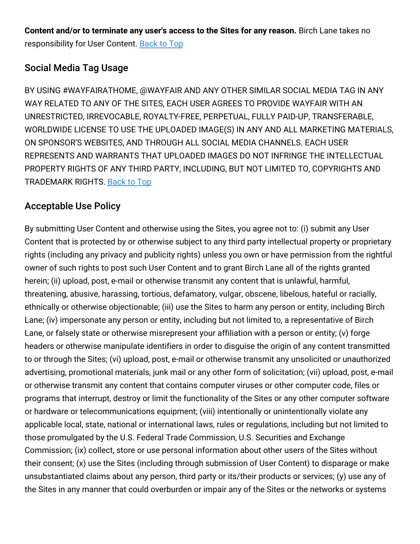**Content and/or to terminate any user's access to the Sites for any reason.** Birch Lane takes no responsibility for User Content. [Back](#top) to Top

## Social Media Tag Usage

BY USING #WAYFAIRATHOME, @WAYFAIR AND ANY OTHER SIMILAR SOCIAL MEDIA TAG IN ANY WAY RELATED TO ANY OF THE SITES, EACH USER AGREES TO PROVIDE WAYFAIR WITH AN UNRESTRICTED, IRREVOCABLE, ROYALTY-FREE, PERPETUAL, FULLY PAID-UP, TRANSFERABLE, WORLDWIDE LICENSE TO USE THE UPLOADED IMAGE(S) IN ANY AND ALL MARKETING MATERIALS, ON SPONSOR'S WEBSITES, AND THROUGH ALL SOCIAL MEDIA CHANNELS. EACH USER REPRESENTS AND WARRANTS THAT UPLOADED IMAGES DO NOT INFRINGE THE INTELLECTUAL PROPERTY RIGHTS OF ANY THIRD PARTY, INCLUDING, BUT NOT LIMITED TO, COPYRIGHTS AND TRADEMARK RIGHTS. [Back](#top) to Top

## Acceptable Use Policy

By submitting User Content and otherwise using the Sites, you agree not to: (i) submit any User Content that is protected by or otherwise subject to any third party intellectual property or proprietary rights (including any privacy and publicity rights) unless you own or have permission from the rightful owner of such rights to post such User Content and to grant Birch Lane all of the rights granted herein; (ii) upload, post, e-mail or otherwise transmit any content that is unlawful, harmful, threatening, abusive, harassing, tortious, defamatory, vulgar, obscene, libelous, hateful or racially, ethnically or otherwise objectionable; (iii) use the Sites to harm any person or entity, including Birch Lane; (iv) impersonate any person or entity, including but not limited to, a representative of Birch Lane, or falsely state or otherwise misrepresent your affiliation with a person or entity; (v) forge headers or otherwise manipulate identifiers in order to disguise the origin of any content transmitted to or through the Sites; (vi) upload, post, e-mail or otherwise transmit any unsolicited or unauthorized advertising, promotional materials, junk mail or any other form of solicitation; (vii) upload, post, e-mail or otherwise transmit any content that contains computer viruses or other computer code, files or programs that interrupt, destroy or limit the functionality of the Sites or any other computer software or hardware or telecommunications equipment; (viii) intentionally or unintentionally violate any applicable local, state, national or international laws, rules or regulations, including but not limited to those promulgated by the U.S. Federal Trade Commission, U.S. Securities and Exchange Commission; (ix) collect, store or use personal information about other users of the Sites without their consent; (x) use the Sites (including through submission of User Content) to disparage or make unsubstantiated claims about any person, third party or its/their products or services; (y) use any of the Sites in any manner that could overburden or impair any of the Sites or the networks or systems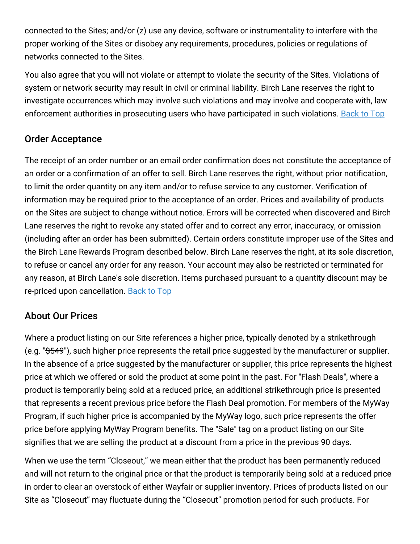connected to the Sites; and/or (z) use any device, software or instrumentality to interfere with the proper working of the Sites or disobey any requirements, procedures, policies or regulations of networks connected to the Sites.

You also agree that you will not violate or attempt to violate the security of the Sites. Violations of system or network security may result in civil or criminal liability. Birch Lane reserves the right to investigate occurrences which may involve such violations and may involve and cooperate with, law enforcement authorities in prosecuting users who have participated in such violations. [Back](#top) to Top

## Order Acceptance

The receipt of an order number or an email order confirmation does not constitute the acceptance of an order or a confirmation of an offer to sell. Birch Lane reserves the right, without prior notification, to limit the order quantity on any item and/or to refuse service to any customer. Verification of information may be required prior to the acceptance of an order. Prices and availability of products on the Sites are subject to change without notice. Errors will be corrected when discovered and Birch Lane reserves the right to revoke any stated offer and to correct any error, inaccuracy, or omission (including after an order has been submitted). Certain orders constitute improper use of the Sites and the Birch Lane Rewards Program described below. Birch Lane reserves the right, at its sole discretion, to refuse or cancel any order for any reason. Your account may also be restricted or terminated for any reason, at Birch Lane's sole discretion. Items purchased pursuant to a quantity discount may be re-priced upon cancellation. [Back](#top) to Top

## About Our Prices

Where a product listing on our Site references a higher price, typically denoted by a strikethrough (e.g. "\$549"), such higher price represents the retail price suggested by the manufacturer or supplier. In the absence of a price suggested by the manufacturer or supplier, this price represents the highest price at which we offered or sold the product at some point in the past. For "Flash Deals", where a product is temporarily being sold at a reduced price, an additional strikethrough price is presented that represents a recent previous price before the Flash Deal promotion. For members of the MyWay Program, if such higher price is accompanied by the MyWay logo, such price represents the offer price before applying MyWay Program benefits. The "Sale" tag on a product listing on our Site signifies that we are selling the product at a discount from a price in the previous 90 days.

When we use the term "Closeout," we mean either that the product has been permanently reduced and will not return to the original price or that the product is temporarily being sold at a reduced price in order to clear an overstock of either Wayfair or supplier inventory. Prices of products listed on our Site as "Closeout" may fluctuate during the "Closeout" promotion period for such products. For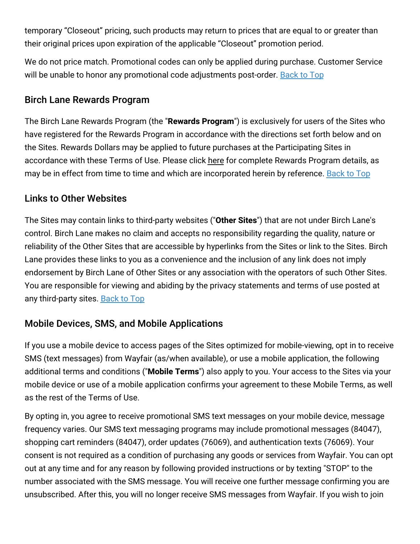temporary "Closeout" pricing, such products may return to prices that are equal to or greater than their original prices upon expiration of the applicable "Closeout" promotion period.

We do not price match. Promotional codes can only be applied during purchase. Customer Service will be unable to honor any promotional code adjustments post-order. [Back](#top) to Top

### Birch Lane Rewards Program

The Birch Lane Rewards Program (the "**Rewards Program**") is exclusively for users of the Sites who have registered for the Rewards Program in accordance with the directions set forth below and on the Sites. Rewards Dollars may be applied to future purchases at the Participating Sites in accordance with these Terms of Use. Please click [here](#rewards) for complete Rewards Program details, as may be in effect from time to time and which are incorporated herein by reference. [Back](#top) to Top

### Links to Other Websites

The Sites may contain links to third-party websites ("**Other Sites**") that are not under Birch Lane's control. Birch Lane makes no claim and accepts no responsibility regarding the quality, nature or reliability of the Other Sites that are accessible by hyperlinks from the Sites or link to the Sites. Birch Lane provides these links to you as a convenience and the inclusion of any link does not imply endorsement by Birch Lane of Other Sites or any association with the operators of such Other Sites. You are responsible for viewing and abiding by the privacy statements and terms of use posted at any third-party sites. [Back](#top) to Top

## Mobile Devices, SMS, and Mobile Applications

If you use a mobile device to access pages of the Sites optimized for mobile-viewing, opt in to receive SMS (text messages) from Wayfair (as/when available), or use a mobile application, the following additional terms and conditions ("**Mobile Terms**") also apply to you. Your access to the Sites via your mobile device or use of a mobile application confirms your agreement to these Mobile Terms, as well as the rest of the Terms of Use.

By opting in, you agree to receive promotional SMS text messages on your mobile device, message frequency varies. Our SMS text messaging programs may include promotional messages (84047), shopping cart reminders (84047), order updates (76069), and authentication texts (76069). Your consent is not required as a condition of purchasing any goods or services from Wayfair. You can opt out at any time and for any reason by following provided instructions or by texting "STOP" to the number associated with the SMS message. You will receive one further message confirming you are unsubscribed. After this, you will no longer receive SMS messages from Wayfair. If you wish to join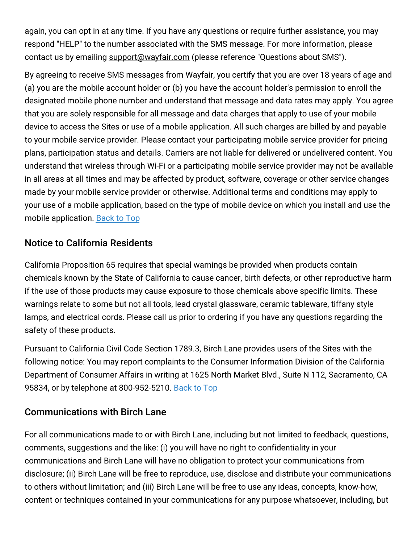again, you can opt in at any time. If you have any questions or require further assistance, you may respond "HELP" to the number associated with the SMS message. For more information, please contact us by emailing [support@wayfair.com](mailto:support@wayfair.com) (please reference "Questions about SMS").

By agreeing to receive SMS messages from Wayfair, you certify that you are over 18 years of age and (a) you are the mobile account holder or (b) you have the account holder's permission to enroll the designated mobile phone number and understand that message and data rates may apply. You agree that you are solely responsible for all message and data charges that apply to use of your mobile device to access the Sites or use of a mobile application. All such charges are billed by and payable to your mobile service provider. Please contact your participating mobile service provider for pricing plans, participation status and details. Carriers are not liable for delivered or undelivered content. You understand that wireless through Wi-Fi or a participating mobile service provider may not be available in all areas at all times and may be affected by product, software, coverage or other service changes made by your mobile service provider or otherwise. Additional terms and conditions may apply to your use of a mobile application, based on the type of mobile device on which you install and use the mobile application. [Back](#top) to Top

## Notice to California Residents

California Proposition 65 requires that special warnings be provided when products contain chemicals known by the State of California to cause cancer, birth defects, or other reproductive harm if the use of those products may cause exposure to those chemicals above specific limits. These warnings relate to some but not all tools, lead crystal glassware, ceramic tableware, tiffany style lamps, and electrical cords. Please call us prior to ordering if you have any questions regarding the safety of these products.

Pursuant to California Civil Code Section 1789.3, Birch Lane provides users of the Sites with the following notice: You may report complaints to the Consumer Information Division of the California Department of Consumer Affairs in writing at 1625 North Market Blvd., Suite N 112, Sacramento, CA 95834, or by telephone at 800-952-5210. [Back](#top) to Top

#### Communications with Birch Lane

For all communications made to or with Birch Lane, including but not limited to feedback, questions, comments, suggestions and the like: (i) you will have no right to confidentiality in your communications and Birch Lane will have no obligation to protect your communications from disclosure; (ii) Birch Lane will be free to reproduce, use, disclose and distribute your communications to others without limitation; and (iii) Birch Lane will be free to use any ideas, concepts, know-how, content or techniques contained in your communications for any purpose whatsoever, including, but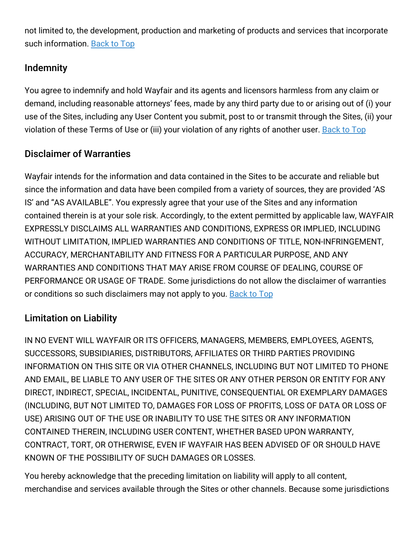not limited to, the development, production and marketing of products and services that incorporate such information. [Back](#top) to Top

## Indemnity

You agree to indemnify and hold Wayfair and its agents and licensors harmless from any claim or demand, including reasonable attorneys' fees, made by any third party due to or arising out of (i) your use of the Sites, including any User Content you submit, post to or transmit through the Sites, (ii) your violation of these Terms of Use or (iii) your violation of any rights of another user. [Back](#top) to Top

## Disclaimer of Warranties

Wayfair intends for the information and data contained in the Sites to be accurate and reliable but since the information and data have been compiled from a variety of sources, they are provided 'AS IS' and "AS AVAILABLE". You expressly agree that your use of the Sites and any information contained therein is at your sole risk. Accordingly, to the extent permitted by applicable law, WAYFAIR EXPRESSLY DISCLAIMS ALL WARRANTIES AND CONDITIONS, EXPRESS OR IMPLIED, INCLUDING WITHOUT LIMITATION, IMPLIED WARRANTIES AND CONDITIONS OF TITLE, NON-INFRINGEMENT, ACCURACY, MERCHANTABILITY AND FITNESS FOR A PARTICULAR PURPOSE, AND ANY WARRANTIES AND CONDITIONS THAT MAY ARISE FROM COURSE OF DEALING, COURSE OF PERFORMANCE OR USAGE OF TRADE. Some jurisdictions do not allow the disclaimer of warranties or conditions so such disclaimers may not apply to you. [Back](#top) to Top

## Limitation on Liability

IN NO EVENT WILL WAYFAIR OR ITS OFFICERS, MANAGERS, MEMBERS, EMPLOYEES, AGENTS, SUCCESSORS, SUBSIDIARIES, DISTRIBUTORS, AFFILIATES OR THIRD PARTIES PROVIDING INFORMATION ON THIS SITE OR VIA OTHER CHANNELS, INCLUDING BUT NOT LIMITED TO PHONE AND EMAIL, BE LIABLE TO ANY USER OF THE SITES OR ANY OTHER PERSON OR ENTITY FOR ANY DIRECT, INDIRECT, SPECIAL, INCIDENTAL, PUNITIVE, CONSEQUENTIAL OR EXEMPLARY DAMAGES (INCLUDING, BUT NOT LIMITED TO, DAMAGES FOR LOSS OF PROFITS, LOSS OF DATA OR LOSS OF USE) ARISING OUT OF THE USE OR INABILITY TO USE THE SITES OR ANY INFORMATION CONTAINED THEREIN, INCLUDING USER CONTENT, WHETHER BASED UPON WARRANTY, CONTRACT, TORT, OR OTHERWISE, EVEN IF WAYFAIR HAS BEEN ADVISED OF OR SHOULD HAVE KNOWN OF THE POSSIBILITY OF SUCH DAMAGES OR LOSSES.

You hereby acknowledge that the preceding limitation on liability will apply to all content, merchandise and services available through the Sites or other channels. Because some jurisdictions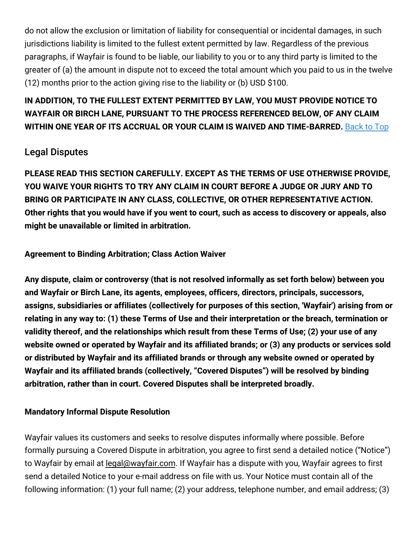do not allow the exclusion or limitation of liability for consequential or incidental damages, in such jurisdictions liability is limited to the fullest extent permitted by law. Regardless of the previous paragraphs, if Wayfair is found to be liable, our liability to you or to any third party is limited to the greater of (a) the amount in dispute not to exceed the total amount which you paid to us in the twelve (12) months prior to the action giving rise to the liability or (b) USD \$100.

## **IN ADDITION, TO THE FULLEST EXTENT PERMITTED BY LAW, YOU MUST PROVIDE NOTICE TO WAYFAIR OR BIRCH LANE, PURSUANT TO THE PROCESS REFERENCED BELOW, OF ANY CLAIM WITHIN ONE YEAR OF ITS ACCRUAL OR YOUR CLAIM IS WAIVED AND TIME-BARRED.** [Back](#top) to Top

## Legal Disputes

**PLEASE READ THIS SECTION CAREFULLY. EXCEPT AS THE TERMS OF USE OTHERWISE PROVIDE, YOU WAIVE YOUR RIGHTS TO TRY ANY CLAIM IN COURT BEFORE A JUDGE OR JURY AND TO BRING OR PARTICIPATE IN ANY CLASS, COLLECTIVE, OR OTHER REPRESENTATIVE ACTION.** Other rights that you would have if you went to court, such as access to discovery or appeals, also **might be unavailable or limited in arbitration.**

#### **Agreement to Binding Arbitration; Class Action Waiver**

**Any dispute, claim or controversy (that is not resolved informally as set forth below) between you and Wayfair or Birch Lane, its agents, employees, officers, directors, principals, successors, assigns, subsidiaries or affiliates (collectively for purposes of this section, 'Wayfair') arising from or** relating in any way to: (1) these Terms of Use and their interpretation or the breach, termination or **validity thereof, and the relationships which result from these Terms of Use; (2) your use of any website owned or operated by Wayfair and its affiliated brands; or (3) any products or services sold or distributed by Wayfair and its affiliated brands or through any website owned or operated by Wayfair and its affiliated brands (collectively, "Covered Disputes") will be resolved by binding arbitration, rather than in court. Covered Disputes shall be interpreted broadly.**

#### **Mandatory Informal Dispute Resolution**

Wayfair values its customers and seeks to resolve disputes informally where possible. Before formally pursuing a Covered Dispute in arbitration, you agree to first send a detailed notice ("Notice") to Wayfair by email at [legal@wayfair.com.](mailto:legal@wayfair.com) If Wayfair has a dispute with you, Wayfair agrees to first send a detailed Notice to your e-mail address on file with us. Your Notice must contain all of the following information: (1) your full name; (2) your address, telephone number, and email address; (3)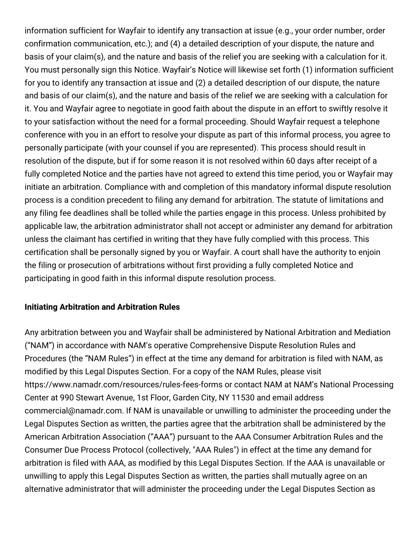information sufficient for Wayfair to identify any transaction at issue (e.g., your order number, order confirmation communication, etc.); and (4) a detailed description of your dispute, the nature and basis of your claim(s), and the nature and basis of the relief you are seeking with a calculation for it. You must personally sign this Notice. Wayfair's Notice will likewise set forth (1) information sufficient for you to identify any transaction at issue and (2) a detailed description of our dispute, the nature and basis of our claim(s), and the nature and basis of the relief we are seeking with a calculation for it. You and Wayfair agree to negotiate in good faith about the dispute in an effort to swiftly resolve it to your satisfaction without the need for a formal proceeding. Should Wayfair request a telephone conference with you in an effort to resolve your dispute as part of this informal process, you agree to personally participate (with your counsel if you are represented). This process should result in resolution of the dispute, but if for some reason it is not resolved within 60 days after receipt of a fully completed Notice and the parties have not agreed to extend this time period, you or Wayfair may initiate an arbitration. Compliance with and completion of this mandatory informal dispute resolution process is a condition precedent to filing any demand for arbitration. The statute of limitations and any filing fee deadlines shall be tolled while the parties engage in this process. Unless prohibited by applicable law, the arbitration administrator shall not accept or administer any demand for arbitration unless the claimant has certified in writing that they have fully complied with this process. This certification shall be personally signed by you or Wayfair. A court shall have the authority to enjoin the filing or prosecution of arbitrations without first providing a fully completed Notice and participating in good faith in this informal dispute resolution process.

#### **Initiating Arbitration and Arbitration Rules**

Any arbitration between you and Wayfair shall be administered by National Arbitration and Mediation ("NAM") in accordance with NAM's operative Comprehensive Dispute Resolution Rules and Procedures (the "NAM Rules") in effect at the time any demand for arbitration is filed with NAM, as modified by this Legal Disputes Section. For a copy of the NAM Rules, please visit https://www.namadr.com/resources/rules-fees-forms or contact NAM at NAM's National Processing Center at 990 Stewart Avenue, 1st Floor, Garden City, NY 11530 and email address commercial@namadr.com. If NAM is unavailable or unwilling to administer the proceeding under the Legal Disputes Section as written, the parties agree that the arbitration shall be administered by the American Arbitration Association ("AAA") pursuant to the AAA Consumer Arbitration Rules and the Consumer Due Process Protocol (collectively, "AAA Rules") in effect at the time any demand for arbitration is filed with AAA, as modified by this Legal Disputes Section. If the AAA is unavailable or unwilling to apply this Legal Disputes Section as written, the parties shall mutually agree on an alternative administrator that will administer the proceeding under the Legal Disputes Section as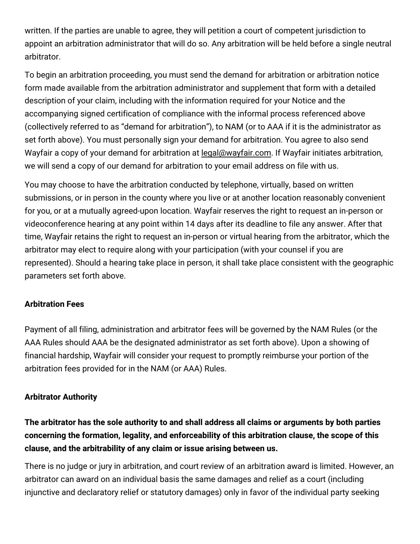written. If the parties are unable to agree, they will petition a court of competent jurisdiction to appoint an arbitration administrator that will do so. Any arbitration will be held before a single neutral arbitrator.

To begin an arbitration proceeding, you must send the demand for arbitration or arbitration notice form made available from the arbitration administrator and supplement that form with a detailed description of your claim, including with the information required for your Notice and the accompanying signed certification of compliance with the informal process referenced above (collectively referred to as "demand for arbitration"), to NAM (or to AAA if it is the administrator as set forth above). You must personally sign your demand for arbitration. You agree to also send Wayfair a copy of your demand for arbitration at [legal@wayfair.com.](mailto:legal@wayfair.com) If Wayfair initiates arbitration, we will send a copy of our demand for arbitration to your email address on file with us.

You may choose to have the arbitration conducted by telephone, virtually, based on written submissions, or in person in the county where you live or at another location reasonably convenient for you, or at a mutually agreed-upon location. Wayfair reserves the right to request an in-person or videoconference hearing at any point within 14 days after its deadline to file any answer. After that time, Wayfair retains the right to request an in-person or virtual hearing from the arbitrator, which the arbitrator may elect to require along with your participation (with your counsel if you are represented). Should a hearing take place in person, it shall take place consistent with the geographic parameters set forth above.

#### **Arbitration Fees**

Payment of all filing, administration and arbitrator fees will be governed by the NAM Rules (or the AAA Rules should AAA be the designated administrator as set forth above). Upon a showing of financial hardship, Wayfair will consider your request to promptly reimburse your portion of the arbitration fees provided for in the NAM (or AAA) Rules.

#### **Arbitrator Authority**

**The arbitrator has the sole authority to and shall address all claims or arguments by both parties concerning the formation, legality, and enforceability of this arbitration clause, the scope of this clause, and the arbitrability of any claim or issue arising between us.**

There is no judge or jury in arbitration, and court review of an arbitration award is limited. However, an arbitrator can award on an individual basis the same damages and relief as a court (including injunctive and declaratory relief or statutory damages) only in favor of the individual party seeking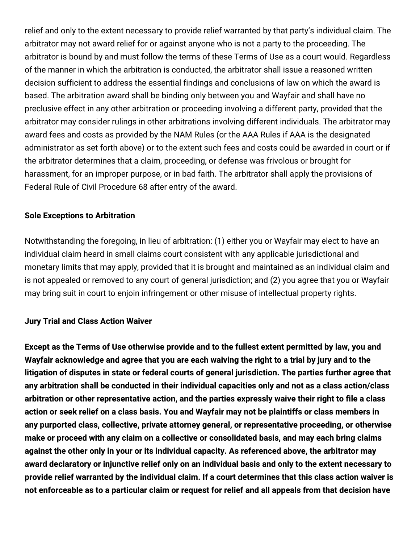relief and only to the extent necessary to provide relief warranted by that party's individual claim. The arbitrator may not award relief for or against anyone who is not a party to the proceeding. The arbitrator is bound by and must follow the terms of these Terms of Use as a court would. Regardless of the manner in which the arbitration is conducted, the arbitrator shall issue a reasoned written decision sufficient to address the essential findings and conclusions of law on which the award is based. The arbitration award shall be binding only between you and Wayfair and shall have no preclusive effect in any other arbitration or proceeding involving a different party, provided that the arbitrator may consider rulings in other arbitrations involving different individuals. The arbitrator may award fees and costs as provided by the NAM Rules (or the AAA Rules if AAA is the designated administrator as set forth above) or to the extent such fees and costs could be awarded in court or if the arbitrator determines that a claim, proceeding, or defense was frivolous or brought for harassment, for an improper purpose, or in bad faith. The arbitrator shall apply the provisions of Federal Rule of Civil Procedure 68 after entry of the award.

#### **Sole Exceptions to Arbitration**

Notwithstanding the foregoing, in lieu of arbitration: (1) either you or Wayfair may elect to have an individual claim heard in small claims court consistent with any applicable jurisdictional and monetary limits that may apply, provided that it is brought and maintained as an individual claim and is not appealed or removed to any court of general jurisdiction; and (2) you agree that you or Wayfair may bring suit in court to enjoin infringement or other misuse of intellectual property rights.

#### **Jury Trial and Class Action Waiver**

**Except as the Terms of Use otherwise provide and to the fullest extent permitted by law, you and** Wayfair acknowledge and agree that you are each waiving the right to a trial by jury and to the **litigation of disputes in state or federal courts of general jurisdiction. The parties further agree that any arbitration shall be conducted in their individual capacities only and not as a class action/class arbitration or other representative action, and the parties expressly waive their right to file a class** action or seek relief on a class basis. You and Wayfair may not be plaintiffs or class members in **any purported class, collective, private attorney general, or representative proceeding, or otherwise make or proceed with any claim on a collective or consolidated basis, and may each bring claims against the other only in your or its individual capacity. As referenced above, the arbitrator may award declaratory or injunctive relief only on an individual basis and only to the extent necessary to provide relief warranted by the individual claim. If a court determines that this class action waiver is** not enforceable as to a particular claim or request for relief and all appeals from that decision have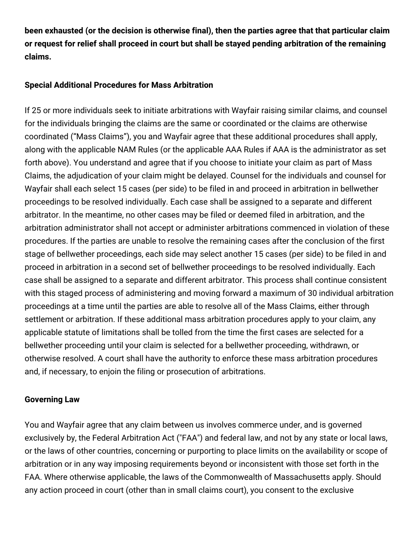**been exhausted (or the decision is otherwise final), then the parties agree that that particular claim or request for relief shall proceed in court but shall be stayed pending arbitration of the remaining claims.**

#### **Special Additional Procedures for Mass Arbitration**

If 25 or more individuals seek to initiate arbitrations with Wayfair raising similar claims, and counsel for the individuals bringing the claims are the same or coordinated or the claims are otherwise coordinated ("Mass Claims"), you and Wayfair agree that these additional procedures shall apply, along with the applicable NAM Rules (or the applicable AAA Rules if AAA is the administrator as set forth above). You understand and agree that if you choose to initiate your claim as part of Mass Claims, the adjudication of your claim might be delayed. Counsel for the individuals and counsel for Wayfair shall each select 15 cases (per side) to be filed in and proceed in arbitration in bellwether proceedings to be resolved individually. Each case shall be assigned to a separate and different arbitrator. In the meantime, no other cases may be filed or deemed filed in arbitration, and the arbitration administrator shall not accept or administer arbitrations commenced in violation of these procedures. If the parties are unable to resolve the remaining cases after the conclusion of the first stage of bellwether proceedings, each side may select another 15 cases (per side) to be filed in and proceed in arbitration in a second set of bellwether proceedings to be resolved individually. Each case shall be assigned to a separate and different arbitrator. This process shall continue consistent with this staged process of administering and moving forward a maximum of 30 individual arbitration proceedings at a time until the parties are able to resolve all of the Mass Claims, either through settlement or arbitration. If these additional mass arbitration procedures apply to your claim, any applicable statute of limitations shall be tolled from the time the first cases are selected for a bellwether proceeding until your claim is selected for a bellwether proceeding, withdrawn, or otherwise resolved. A court shall have the authority to enforce these mass arbitration procedures and, if necessary, to enjoin the filing or prosecution of arbitrations.

#### **Governing Law**

You and Wayfair agree that any claim between us involves commerce under, and is governed exclusively by, the Federal Arbitration Act ("FAA") and federal law, and not by any state or local laws, or the laws of other countries, concerning or purporting to place limits on the availability or scope of arbitration or in any way imposing requirements beyond or inconsistent with those set forth in the FAA. Where otherwise applicable, the laws of the Commonwealth of Massachusetts apply. Should any action proceed in court (other than in small claims court), you consent to the exclusive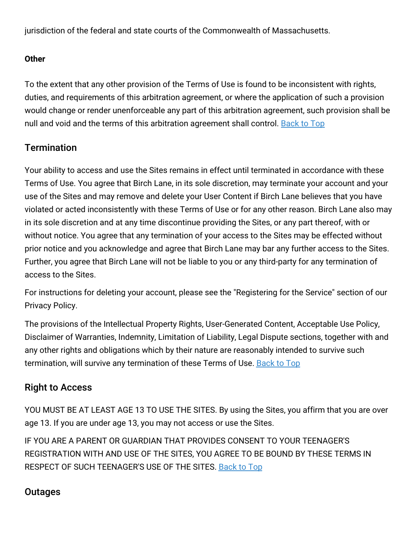jurisdiction of the federal and state courts of the Commonwealth of Massachusetts.

#### **Other**

To the extent that any other provision of the Terms of Use is found to be inconsistent with rights, duties, and requirements of this arbitration agreement, or where the application of such a provision would change or render unenforceable any part of this arbitration agreement, such provision shall be null and void and the terms of this arbitration agreement shall control. [Back](#top) to Top

## **Termination**

Your ability to access and use the Sites remains in effect until terminated in accordance with these Terms of Use. You agree that Birch Lane, in its sole discretion, may terminate your account and your use of the Sites and may remove and delete your User Content if Birch Lane believes that you have violated or acted inconsistently with these Terms of Use or for any other reason. Birch Lane also may in its sole discretion and at any time discontinue providing the Sites, or any part thereof, with or without notice. You agree that any termination of your access to the Sites may be effected without prior notice and you acknowledge and agree that Birch Lane may bar any further access to the Sites. Further, you agree that Birch Lane will not be liable to you or any third-party for any termination of access to the Sites.

For instructions for deleting your account, please see the "Registering for the Service" section of our Privacy Policy.

The provisions of the Intellectual Property Rights, User-Generated Content, Acceptable Use Policy, Disclaimer of Warranties, Indemnity, Limitation of Liability, Legal Dispute sections, together with and any other rights and obligations which by their nature are reasonably intended to survive such termination, will survive any termination of these Terms of Use. [Back](#top) to Top

## Right to Access

YOU MUST BE AT LEAST AGE 13 TO USE THE SITES. By using the Sites, you affirm that you are over age 13. If you are under age 13, you may not access or use the Sites.

IF YOU ARE A PARENT OR GUARDIAN THAT PROVIDES CONSENT TO YOUR TEENAGER'S REGISTRATION WITH AND USE OF THE SITES, YOU AGREE TO BE BOUND BY THESE TERMS IN RESPECT OF SUCH TEENAGER'S USE OF THE SITES. [Back](#top) to Top

## **Outages**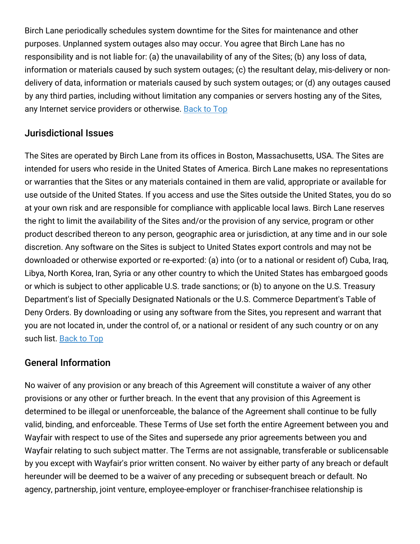Birch Lane periodically schedules system downtime for the Sites for maintenance and other purposes. Unplanned system outages also may occur. You agree that Birch Lane has no responsibility and is not liable for: (a) the unavailability of any of the Sites; (b) any loss of data, information or materials caused by such system outages; (c) the resultant delay, mis-delivery or nondelivery of data, information or materials caused by such system outages; or (d) any outages caused by any third parties, including without limitation any companies or servers hosting any of the Sites, any Internet service providers or otherwise. [Back](#top) to Top

## Jurisdictional Issues

The Sites are operated by Birch Lane from its offices in Boston, Massachusetts, USA. The Sites are intended for users who reside in the United States of America. Birch Lane makes no representations or warranties that the Sites or any materials contained in them are valid, appropriate or available for use outside of the United States. If you access and use the Sites outside the United States, you do so at your own risk and are responsible for compliance with applicable local laws. Birch Lane reserves the right to limit the availability of the Sites and/or the provision of any service, program or other product described thereon to any person, geographic area or jurisdiction, at any time and in our sole discretion. Any software on the Sites is subject to United States export controls and may not be downloaded or otherwise exported or re-exported: (a) into (or to a national or resident of) Cuba, Iraq, Libya, North Korea, Iran, Syria or any other country to which the United States has embargoed goods or which is subject to other applicable U.S. trade sanctions; or (b) to anyone on the U.S. Treasury Department's list of Specially Designated Nationals or the U.S. Commerce Department's Table of Deny Orders. By downloading or using any software from the Sites, you represent and warrant that you are not located in, under the control of, or a national or resident of any such country or on any such list. [Back](#top) to Top

## General Information

No waiver of any provision or any breach of this Agreement will constitute a waiver of any other provisions or any other or further breach. In the event that any provision of this Agreement is determined to be illegal or unenforceable, the balance of the Agreement shall continue to be fully valid, binding, and enforceable. These Terms of Use set forth the entire Agreement between you and Wayfair with respect to use of the Sites and supersede any prior agreements between you and Wayfair relating to such subject matter. The Terms are not assignable, transferable or sublicensable by you except with Wayfair's prior written consent. No waiver by either party of any breach or default hereunder will be deemed to be a waiver of any preceding or subsequent breach or default. No agency, partnership, joint venture, employee-employer or franchiser-franchisee relationship is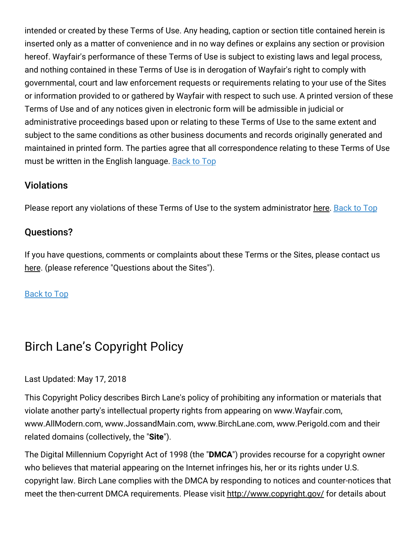intended or created by these Terms of Use. Any heading, caption or section title contained herein is inserted only as a matter of convenience and in no way defines or explains any section or provision hereof. Wayfair's performance of these Terms of Use is subject to existing laws and legal process, and nothing contained in these Terms of Use is in derogation of Wayfair's right to comply with governmental, court and law enforcement requests or requirements relating to your use of the Sites or information provided to or gathered by Wayfair with respect to such use. A printed version of these Terms of Use and of any notices given in electronic form will be admissible in judicial or administrative proceedings based upon or relating to these Terms of Use to the same extent and subject to the same conditions as other business documents and records originally generated and maintained in printed form. The parties agree that all correspondence relating to these Terms of Use must be written in the English language. [Back](#top) to Top

### **Violations**

Please report any violations of these Terms of Use to the system administrator [here.](https://www.birchlane.com/contact_us) [Back](#top) to Top

#### Questions?

If you have questions, comments or complaints about these Terms or the Sites, please contact us [here.](https://www.birchlane.com/contact_us) (please reference "Questions about the Sites").

#### [Back](#top) to Top

## Birch Lane's Copyright Policy

#### Last Updated: May 17, 2018

This Copyright Policy describes Birch Lane's policy of prohibiting any information or materials that violate another party's intellectual property rights from appearing on www.Wayfair.com, www.AllModern.com, www.JossandMain.com, www.BirchLane.com, www.Perigold.com and their related domains (collectively, the "**Site**").

The Digital Millennium Copyright Act of 1998 (the "**DMCA**") provides recourse for a copyright owner who believes that material appearing on the Internet infringes his, her or its rights under U.S. copyright law. Birch Lane complies with the DMCA by responding to notices and counter-notices that meet the then-current DMCA requirements. Please visit <http://www.copyright.gov/> for details about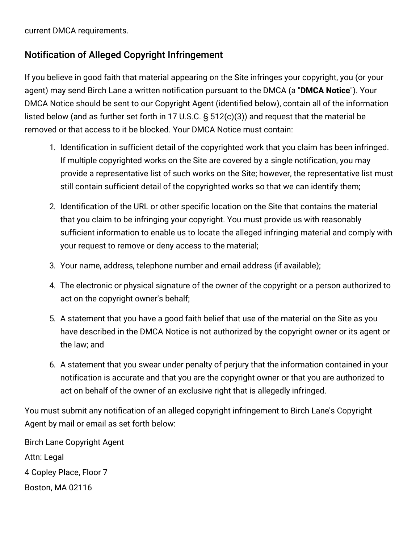current DMCA requirements.

## Notification of Alleged Copyright Infringement

If you believe in good faith that material appearing on the Site infringes your copyright, you (or your agent) may send Birch Lane a written notification pursuant to the DMCA (a "**DMCA Notice**"). Your DMCA Notice should be sent to our Copyright Agent (identified below), contain all of the information listed below (and as further set forth in 17 U.S.C. § 512(c)(3)) and request that the material be removed or that access to it be blocked. Your DMCA Notice must contain:

- 1. Identification in sufficient detail of the copyrighted work that you claim has been infringed. If multiple copyrighted works on the Site are covered by a single notification, you may provide a representative list of such works on the Site; however, the representative list must still contain sufficient detail of the copyrighted works so that we can identify them;
- 2. Identification of the URL or other specific location on the Site that contains the material that you claim to be infringing your copyright. You must provide us with reasonably sufficient information to enable us to locate the alleged infringing material and comply with your request to remove or deny access to the material;
- 3. Your name, address, telephone number and email address (if available);
- 4. The electronic or physical signature of the owner of the copyright or a person authorized to act on the copyright owner's behalf;
- 5. A statement that you have a good faith belief that use of the material on the Site as you have described in the DMCA Notice is not authorized by the copyright owner or its agent or the law; and
- 6. A statement that you swear under penalty of perjury that the information contained in your notification is accurate and that you are the copyright owner or that you are authorized to act on behalf of the owner of an exclusive right that is allegedly infringed.

You must submit any notification of an alleged copyright infringement to Birch Lane's Copyright Agent by mail or email as set forth below:

Birch Lane Copyright Agent Attn: Legal 4 Copley Place, Floor 7 Boston, MA 02116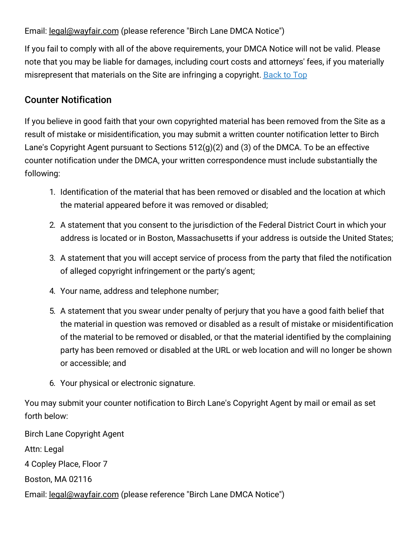#### Email: <u>[legal@wayfair.com](mailto:legal@wayfair.com)</u> (please reference "Birch Lane DMCA Notice")

If you fail to comply with all of the above requirements, your DMCA Notice will not be valid. Please note that you may be liable for damages, including court costs and attorneys' fees, if you materially misrepresent that materials on the Site are infringing a copyright. **[Back](#top) to Top** 

## Counter Notification

If you believe in good faith that your own copyrighted material has been removed from the Site as a result of mistake or misidentification, you may submit a written counter notification letter to Birch Lane's Copyright Agent pursuant to Sections 512(g)(2) and (3) of the DMCA. To be an effective counter notification under the DMCA, your written correspondence must include substantially the following:

- 1. Identification of the material that has been removed or disabled and the location at which the material appeared before it was removed or disabled;
- 2. A statement that you consent to the jurisdiction of the Federal District Court in which your address is located or in Boston, Massachusetts if your address is outside the United States;
- 3. A statement that you will accept service of process from the party that filed the notification of alleged copyright infringement or the party's agent;
- 4. Your name, address and telephone number;
- 5. A statement that you swear under penalty of perjury that you have a good faith belief that the material in question was removed or disabled as a result of mistake or misidentification of the material to be removed or disabled, or that the material identified by the complaining party has been removed or disabled at the URL or web location and will no longer be shown or accessible; and
- 6. Your physical or electronic signature.

You may submit your counter notification to Birch Lane's Copyright Agent by mail or email as set forth below:

Birch Lane Copyright Agent Attn: Legal 4 Copley Place, Floor 7 Boston, MA 02116 Email: [legal@wayfair.com](mailto:legal@wayfair.com) (please reference "Birch Lane DMCA Notice")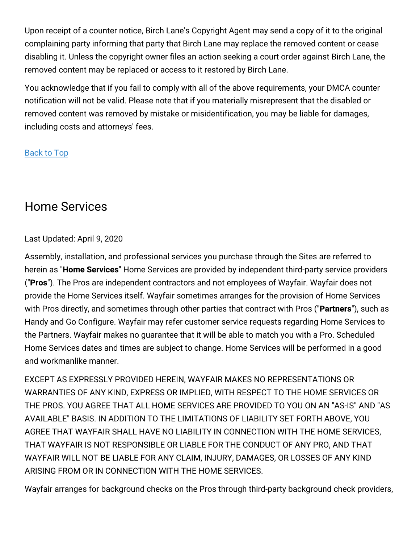Upon receipt of a counter notice, Birch Lane's Copyright Agent may send a copy of it to the original complaining party informing that party that Birch Lane may replace the removed content or cease disabling it. Unless the copyright owner files an action seeking a court order against Birch Lane, the removed content may be replaced or access to it restored by Birch Lane.

You acknowledge that if you fail to comply with all of the above requirements, your DMCA counter notification will not be valid. Please note that if you materially misrepresent that the disabled or removed content was removed by mistake or misidentification, you may be liable for damages, including costs and attorneys' fees.

#### [Back](#top) to Top

# Home Services

#### Last Updated: April 9, 2020

Assembly, installation, and professional services you purchase through the Sites are referred to herein as "**Home Services**" Home Services are provided by independent third-party service providers ("**Pros**"). The Pros are independent contractors and not employees of Wayfair. Wayfair does not provide the Home Services itself. Wayfair sometimes arranges for the provision of Home Services with Pros directly, and sometimes through other parties that contract with Pros ("**Partners**"), such as Handy and Go Configure. Wayfair may refer customer service requests regarding Home Services to the Partners. Wayfair makes no guarantee that it will be able to match you with a Pro. Scheduled Home Services dates and times are subject to change. Home Services will be performed in a good and workmanlike manner.

EXCEPT AS EXPRESSLY PROVIDED HEREIN, WAYFAIR MAKES NO REPRESENTATIONS OR WARRANTIES OF ANY KIND, EXPRESS OR IMPLIED, WITH RESPECT TO THE HOME SERVICES OR THE PROS. YOU AGREE THAT ALL HOME SERVICES ARE PROVIDED TO YOU ON AN "AS-IS" AND "AS AVAILABLE" BASIS. IN ADDITION TO THE LIMITATIONS OF LIABILITY SET FORTH ABOVE, YOU AGREE THAT WAYFAIR SHALL HAVE NO LIABILITY IN CONNECTION WITH THE HOME SERVICES, THAT WAYFAIR IS NOT RESPONSIBLE OR LIABLE FOR THE CONDUCT OF ANY PRO, AND THAT WAYFAIR WILL NOT BE LIABLE FOR ANY CLAIM, INJURY, DAMAGES, OR LOSSES OF ANY KIND ARISING FROM OR IN CONNECTION WITH THE HOME SERVICES.

Wayfair arranges for background checks on the Pros through third-party background check providers,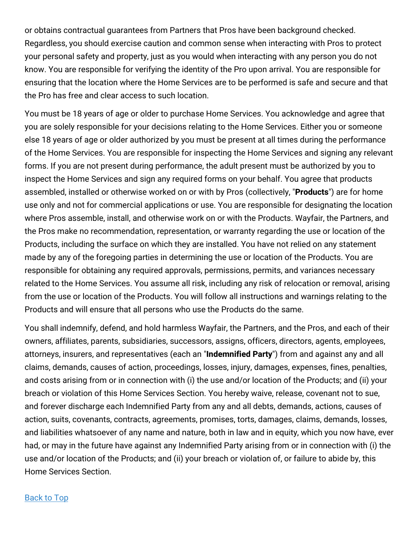or obtains contractual guarantees from Partners that Pros have been background checked. Regardless, you should exercise caution and common sense when interacting with Pros to protect your personal safety and property, just as you would when interacting with any person you do not know. You are responsible for verifying the identity of the Pro upon arrival. You are responsible for ensuring that the location where the Home Services are to be performed is safe and secure and that the Pro has free and clear access to such location.

You must be 18 years of age or older to purchase Home Services. You acknowledge and agree that you are solely responsible for your decisions relating to the Home Services. Either you or someone else 18 years of age or older authorized by you must be present at all times during the performance of the Home Services. You are responsible for inspecting the Home Services and signing any relevant forms. If you are not present during performance, the adult present must be authorized by you to inspect the Home Services and sign any required forms on your behalf. You agree that products assembled, installed or otherwise worked on or with by Pros (collectively, "**Products**") are for home use only and not for commercial applications or use. You are responsible for designating the location where Pros assemble, install, and otherwise work on or with the Products. Wayfair, the Partners, and the Pros make no recommendation, representation, or warranty regarding the use or location of the Products, including the surface on which they are installed. You have not relied on any statement made by any of the foregoing parties in determining the use or location of the Products. You are responsible for obtaining any required approvals, permissions, permits, and variances necessary related to the Home Services. You assume all risk, including any risk of relocation or removal, arising from the use or location of the Products. You will follow all instructions and warnings relating to the Products and will ensure that all persons who use the Products do the same.

You shall indemnify, defend, and hold harmless Wayfair, the Partners, and the Pros, and each of their owners, affiliates, parents, subsidiaries, successors, assigns, officers, directors, agents, employees, attorneys, insurers, and representatives (each an "**Indemnified Party**") from and against any and all claims, demands, causes of action, proceedings, losses, injury, damages, expenses, fines, penalties, and costs arising from or in connection with (i) the use and/or location of the Products; and (ii) your breach or violation of this Home Services Section. You hereby waive, release, covenant not to sue, and forever discharge each Indemnified Party from any and all debts, demands, actions, causes of action, suits, covenants, contracts, agreements, promises, torts, damages, claims, demands, losses, and liabilities whatsoever of any name and nature, both in law and in equity, which you now have, ever had, or may in the future have against any Indemnified Party arising from or in connection with (i) the use and/or location of the Products; and (ii) your breach or violation of, or failure to abide by, this Home Services Section.

#### [Back](#top) to Top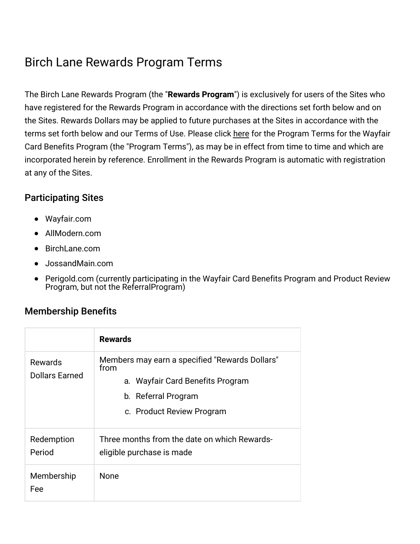# Birch Lane Rewards Program Terms

The Birch Lane Rewards Program (the "**Rewards Program**") is exclusively for users of the Sites who have registered for the Rewards Program in accordance with the directions set forth below and on the Sites. Rewards Dollars may be applied to future purchases at the Sites in accordance with the terms set forth below and our Terms of Use. Please click [here](https://terms.birchlane.io/en-US#birchlane-creditcard) for the Program Terms for the Wayfair Card Benefits Program (the "Program Terms"), as may be in effect from time to time and which are incorporated herein by reference. Enrollment in the Rewards Program is automatic with registration at any of the Sites.

### Participating Sites

- Wayfair.com
- AllModern.com
- BirchLane.com
- JossandMain.com
- Perigold.com (currently participating in the Wayfair Card Benefits Program and Product Review Program, but not the ReferralProgram)

## Membership Benefits

|                                  | <b>Rewards</b>                                                                                                                                 |
|----------------------------------|------------------------------------------------------------------------------------------------------------------------------------------------|
| Rewards<br><b>Dollars Earned</b> | Members may earn a specified "Rewards Dollars"<br>from<br>a. Wayfair Card Benefits Program<br>b. Referral Program<br>c. Product Review Program |
| Redemption<br>Period             | Three months from the date on which Rewards-<br>eligible purchase is made                                                                      |
| Membership<br>Fee                | <b>None</b>                                                                                                                                    |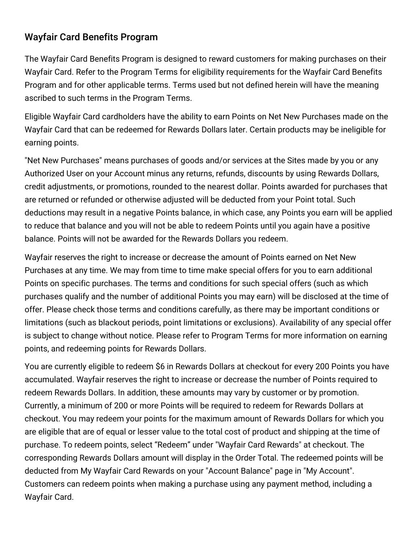## Wayfair Card Benefits Program

The Wayfair Card Benefits Program is designed to reward customers for making purchases on their Wayfair Card. Refer to the Program Terms for eligibility requirements for the Wayfair Card Benefits Program and for other applicable terms. Terms used but not defined herein will have the meaning ascribed to such terms in the Program Terms.

Eligible Wayfair Card cardholders have the ability to earn Points on Net New Purchases made on the Wayfair Card that can be redeemed for Rewards Dollars later. Certain products may be ineligible for earning points.

"Net New Purchases" means purchases of goods and/or services at the Sites made by you or any Authorized User on your Account minus any returns, refunds, discounts by using Rewards Dollars, credit adjustments, or promotions, rounded to the nearest dollar. Points awarded for purchases that are returned or refunded or otherwise adjusted will be deducted from your Point total. Such deductions may result in a negative Points balance, in which case, any Points you earn will be applied to reduce that balance and you will not be able to redeem Points until you again have a positive balance. Points will not be awarded for the Rewards Dollars you redeem.

Wayfair reserves the right to increase or decrease the amount of Points earned on Net New Purchases at any time. We may from time to time make special offers for you to earn additional Points on specific purchases. The terms and conditions for such special offers (such as which purchases qualify and the number of additional Points you may earn) will be disclosed at the time of offer. Please check those terms and conditions carefully, as there may be important conditions or limitations (such as blackout periods, point limitations or exclusions). Availability of any special offer is subject to change without notice. Please refer to Program Terms for more information on earning points, and redeeming points for Rewards Dollars.

You are currently eligible to redeem \$6 in Rewards Dollars at checkout for every 200 Points you have accumulated. Wayfair reserves the right to increase or decrease the number of Points required to redeem Rewards Dollars. In addition, these amounts may vary by customer or by promotion. Currently, a minimum of 200 or more Points will be required to redeem for Rewards Dollars at checkout. You may redeem your points for the maximum amount of Rewards Dollars for which you are eligible that are of equal or lesser value to the total cost of product and shipping at the time of purchase. To redeem points, select "Redeem" under "Wayfair Card Rewards" at checkout. The corresponding Rewards Dollars amount will display in the Order Total. The redeemed points will be deducted from My Wayfair Card Rewards on your "Account Balance" page in "My Account". Customers can redeem points when making a purchase using any payment method, including a Wayfair Card.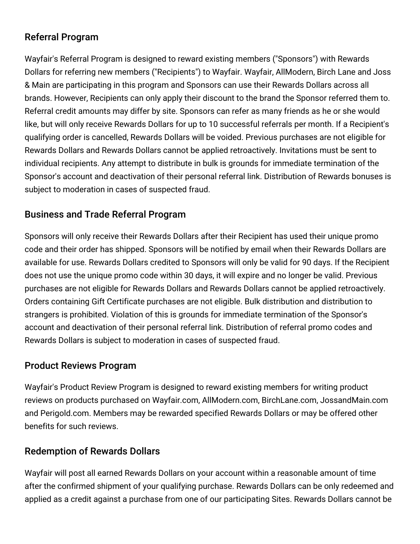## Referral Program

Wayfair's Referral Program is designed to reward existing members ("Sponsors") with Rewards Dollars for referring new members ("Recipients") to Wayfair. Wayfair, AllModern, Birch Lane and Joss & Main are participating in this program and Sponsors can use their Rewards Dollars across all brands. However, Recipients can only apply their discount to the brand the Sponsor referred them to. Referral credit amounts may differ by site. Sponsors can refer as many friends as he or she would like, but will only receive Rewards Dollars for up to 10 successful referrals per month. If a Recipient's qualifying order is cancelled, Rewards Dollars will be voided. Previous purchases are not eligible for Rewards Dollars and Rewards Dollars cannot be applied retroactively. Invitations must be sent to individual recipients. Any attempt to distribute in bulk is grounds for immediate termination of the Sponsor's account and deactivation of their personal referral link. Distribution of Rewards bonuses is subject to moderation in cases of suspected fraud.

## Business and Trade Referral Program

Sponsors will only receive their Rewards Dollars after their Recipient has used their unique promo code and their order has shipped. Sponsors will be notified by email when their Rewards Dollars are available for use. Rewards Dollars credited to Sponsors will only be valid for 90 days. If the Recipient does not use the unique promo code within 30 days, it will expire and no longer be valid. Previous purchases are not eligible for Rewards Dollars and Rewards Dollars cannot be applied retroactively. Orders containing Gift Certificate purchases are not eligible. Bulk distribution and distribution to strangers is prohibited. Violation of this is grounds for immediate termination of the Sponsor's account and deactivation of their personal referral link. Distribution of referral promo codes and Rewards Dollars is subject to moderation in cases of suspected fraud.

## Product Reviews Program

Wayfair's Product Review Program is designed to reward existing members for writing product reviews on products purchased on Wayfair.com, AllModern.com, BirchLane.com, JossandMain.com and Perigold.com. Members may be rewarded specified Rewards Dollars or may be offered other benefits for such reviews.

## Redemption of Rewards Dollars

Wayfair will post all earned Rewards Dollars on your account within a reasonable amount of time after the confirmed shipment of your qualifying purchase. Rewards Dollars can be only redeemed and applied as a credit against a purchase from one of our participating Sites. Rewards Dollars cannot be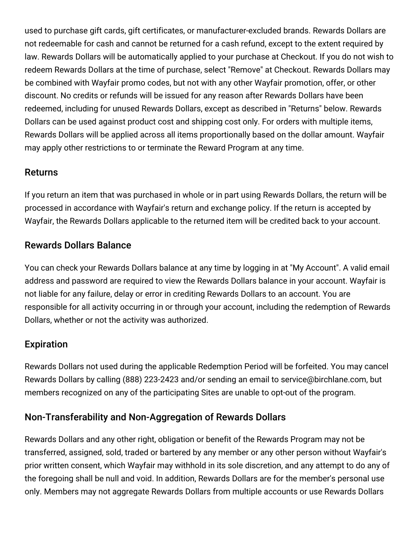used to purchase gift cards, gift certificates, or manufacturer-excluded brands. Rewards Dollars are not redeemable for cash and cannot be returned for a cash refund, except to the extent required by law. Rewards Dollars will be automatically applied to your purchase at Checkout. If you do not wish to redeem Rewards Dollars at the time of purchase, select "Remove" at Checkout. Rewards Dollars may be combined with Wayfair promo codes, but not with any other Wayfair promotion, offer, or other discount. No credits or refunds will be issued for any reason after Rewards Dollars have been redeemed, including for unused Rewards Dollars, except as described in "Returns" below. Rewards Dollars can be used against product cost and shipping cost only. For orders with multiple items, Rewards Dollars will be applied across all items proportionally based on the dollar amount. Wayfair may apply other restrictions to or terminate the Reward Program at any time.

## Returns

If you return an item that was purchased in whole or in part using Rewards Dollars, the return will be processed in accordance with Wayfair's return and exchange policy. If the return is accepted by Wayfair, the Rewards Dollars applicable to the returned item will be credited back to your account.

## Rewards Dollars Balance

You can check your Rewards Dollars balance at any time by logging in at "My Account". A valid email address and password are required to view the Rewards Dollars balance in your account. Wayfair is not liable for any failure, delay or error in crediting Rewards Dollars to an account. You are responsible for all activity occurring in or through your account, including the redemption of Rewards Dollars, whether or not the activity was authorized.

## Expiration

Rewards Dollars not used during the applicable Redemption Period will be forfeited. You may cancel Rewards Dollars by calling (888) 223-2423 and/or sending an email to service@birchlane.com, but members recognized on any of the participating Sites are unable to opt-out of the program.

## Non-Transferability and Non-Aggregation of Rewards Dollars

Rewards Dollars and any other right, obligation or benefit of the Rewards Program may not be transferred, assigned, sold, traded or bartered by any member or any other person without Wayfair's prior written consent, which Wayfair may withhold in its sole discretion, and any attempt to do any of the foregoing shall be null and void. In addition, Rewards Dollars are for the member's personal use only. Members may not aggregate Rewards Dollars from multiple accounts or use Rewards Dollars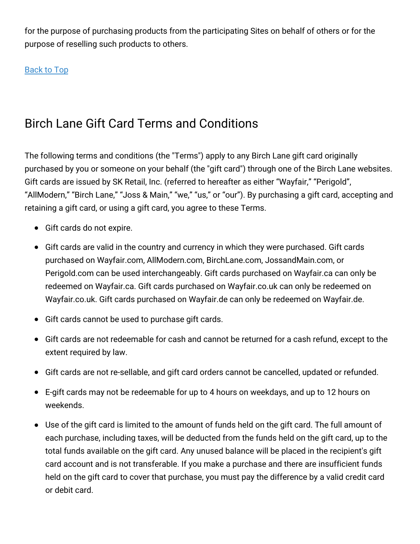for the purpose of purchasing products from the participating Sites on behalf of others or for the purpose of reselling such products to others.

[Back](#top) to Top

# Birch Lane Gift Card Terms and Conditions

The following terms and conditions (the "Terms") apply to any Birch Lane gift card originally purchased by you or someone on your behalf (the "gift card") through one of the Birch Lane websites. Gift cards are issued by SK Retail, Inc. (referred to hereafter as either "Wayfair," "Perigold", "AllModern," "Birch Lane," "Joss & Main," "we," "us," or "our"). By purchasing a gift card, accepting and retaining a gift card, or using a gift card, you agree to these Terms.

- Gift cards do not expire.
- Gift cards are valid in the country and currency in which they were purchased. Gift cards purchased on Wayfair.com, AllModern.com, BirchLane.com, JossandMain.com, or Perigold.com can be used interchangeably. Gift cards purchased on Wayfair.ca can only be redeemed on Wayfair.ca. Gift cards purchased on Wayfair.co.uk can only be redeemed on Wayfair.co.uk. Gift cards purchased on Wayfair.de can only be redeemed on Wayfair.de.
- Gift cards cannot be used to purchase gift cards.
- Gift cards are not redeemable for cash and cannot be returned for a cash refund, except to the extent required by law.
- Gift cards are not re-sellable, and gift card orders cannot be cancelled, updated or refunded.
- E-gift cards may not be redeemable for up to 4 hours on weekdays, and up to 12 hours on weekends.
- Use of the gift card is limited to the amount of funds held on the gift card. The full amount of each purchase, including taxes, will be deducted from the funds held on the gift card, up to the total funds available on the gift card. Any unused balance will be placed in the recipient's gift card account and is not transferable. If you make a purchase and there are insufficient funds held on the gift card to cover that purchase, you must pay the difference by a valid credit card or debit card.